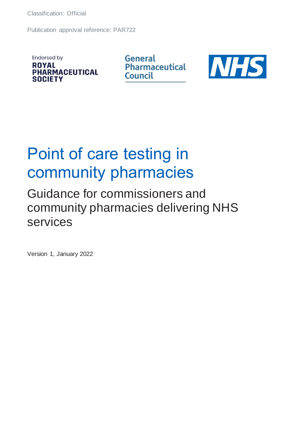Publication approval reference: PAR722

**Endorsed by ROYAL PHARMACEUTICAL SOCIETY** 

General **Pharmaceutical** Council



## Point of care testing in community pharmacies

## Guidance for commissioners and community pharmacies delivering NHS services

Version 1, January 2022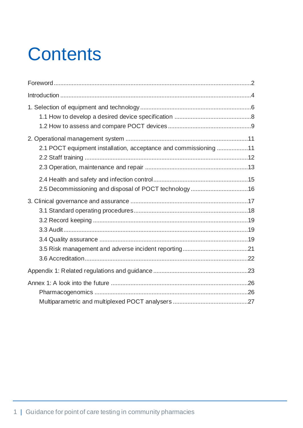# **Contents**

| 2.1 POCT equipment installation, acceptance and commissioning 11 |  |
|------------------------------------------------------------------|--|
|                                                                  |  |
| 2.5 Decommissioning and disposal of POCT technology 16           |  |
|                                                                  |  |
|                                                                  |  |
|                                                                  |  |
|                                                                  |  |
|                                                                  |  |
|                                                                  |  |
|                                                                  |  |
|                                                                  |  |
|                                                                  |  |
|                                                                  |  |
|                                                                  |  |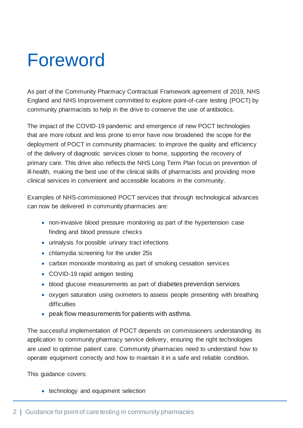## <span id="page-2-0"></span>Foreword

As part of the Community Pharmacy Contractual Framework agreement of 2019, NHS England and NHS Improvement committed to explore point-of-care testing (POCT) by community pharmacists to help in the drive to conserve the use of antibiotics.

The impact of the COVID-19 pandemic and emergence of new POCT technologies that are more robust and less prone to error have now broadened the scope for the deployment of POCT in community pharmacies: to improve the quality and efficiency of the delivery of diagnostic services closer to home, supporting the recovery of primary care. This drive also reflects the NHS Long Term Plan focus on prevention of ill-health, making the best use of the clinical skills of pharmacists and providing more clinical services in convenient and accessible locations in the community.

Examples of NHS-commissioned POCT services that through technological advances can now be delivered in community pharmacies are:

- non-invasive blood pressure monitoring as part of the hypertension case finding and blood pressure checks
- urinalysis for possible urinary tract infections
- chlamydia screening for the under 25s
- carbon monoxide monitoring as part of smoking cessation services
- COVID-19 rapid antigen testing
- blood glucose measurements as part of diabetes prevention services
- oxygen saturation using oximeters to assess people presenting with breathing difficulties
- peak flow measurements for patients with asthma.

The successful implementation of POCT depends on commissioners understanding its application to community pharmacy service delivery, ensuring the right technologies are used to optimise patient care. Community pharmacies need to understand how to operate equipment correctly and how to maintain it in a safe and reliable condition.

This guidance covers:

• technology and equipment selection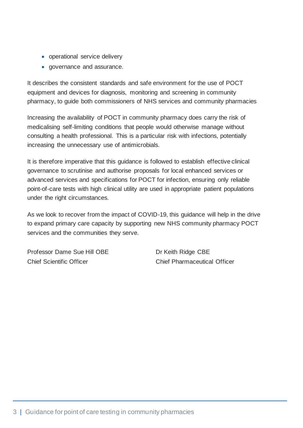- operational service delivery
- governance and assurance.

It describes the consistent standards and safe environment for the use of POCT equipment and devices for diagnosis, monitoring and screening in community pharmacy, to guide both commissioners of NHS services and community pharmacies

Increasing the availability of POCT in community pharmacy does carry the risk of medicalising self-limiting conditions that people would otherwise manage without consulting a health professional. This is a particular risk with infections, potentially increasing the unnecessary use of antimicrobials.

It is therefore imperative that this guidance is followed to establish effective clinical governance to scrutinise and authorise proposals for local enhanced services or advanced services and specifications for POCT for infection, ensuring only reliable point-of-care tests with high clinical utility are used in appropriate patient populations under the right circumstances.

As we look to recover from the impact of COVID-19, this guidance will help in the drive to expand primary care capacity by supporting new NHS community pharmacy POCT services and the communities they serve.

Professor Dame Sue Hill OBE Dr Keith Ridge CBE Chief Scientific Officer Chief Pharmaceutical Officer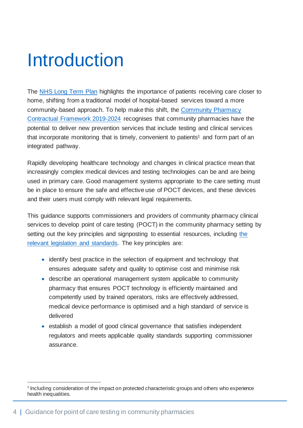## <span id="page-4-0"></span>Introduction

The [NHS Long Term Plan](https://www.longtermplan.nhs.uk/) highlights the importance of patients receiving care closer to home, shifting from a traditional model of hospital-based services toward a more community-based approach. To help make this shift, the [Community Pharmacy](https://www.gov.uk/government/publications/community-pharmacy-contractual-framework-2019-to-2024)  [Contractual Framework 2019-2024](https://www.gov.uk/government/publications/community-pharmacy-contractual-framework-2019-to-2024) recognises that community pharmacies have the potential to deliver new prevention services that include testing and clinical services that incorporate monitoring that is timely, convenient to patients<sup>1</sup> and form part of an integrated pathway.

Rapidly developing healthcare technology and changes in clinical practice mean that increasingly complex medical devices and testing technologies can be and are being used in primary care. Good management systems appropriate to the care setting must be in place to ensure the safe and effective use of POCT devices, and these devices and their users must comply with relevant legal requirements.

This guidance supports commissioners and providers of community pharmacy clinical services to develop point of care testing (POCT) in the community pharmacy setting by setting out the key principles and signposting to essential resources, including [the](#page-23-0)  [relevant legislation and standards.](#page-23-0) The key principles are:

- identify best practice in the selection of equipment and technology that ensures adequate safety and quality to optimise cost and minimise risk
- describe an operational management system applicable to community pharmacy that ensures POCT technology is efficiently maintained and competently used by trained operators, risks are effectively addressed, medical device performance is optimised and a high standard of service is delivered
- establish a model of good clinical governance that satisfies independent regulators and meets applicable quality standards supporting commissioner assurance.

<sup>&</sup>lt;sup>1</sup> Including consideration of the impact on protected characteristic groups and others who experience health inequalities.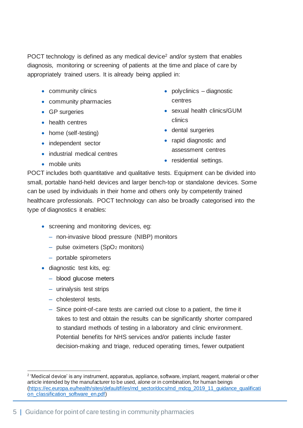POCT technology is defined as any medical device<sup>2</sup> and/or system that enables diagnosis, monitoring or screening of patients at the time and place of care by appropriately trained users. It is already being applied in:

- community clinics
- community pharmacies
- GP surgeries
- health centres
- home (self-testing)
- independent sector
- industrial medical centres
- mobile units
- polyclinics diagnostic centres
- sexual health clinics/GUM clinics
- dental surgeries
- rapid diagnostic and assessment centres
- residential settings.

POCT includes both quantitative and qualitative tests. Equipment can be divided into small, portable hand-held devices and larger bench-top or standalone devices. Some can be used by individuals in their home and others only by competently trained healthcare professionals. POCT technology can also be broadly categorised into the type of diagnostics it enables:

- screening and monitoring devices, eg:
	- ‒ non-invasive blood pressure (NIBP) monitors
	- [pulse oximeters \(SpO](https://www.gov.uk/guidance/the-use-and-regulation-of-pulse-oximeters-information-for-healthcare-professionals)<sub>2</sub> monitors)
	- portable spirometers
- diagnostic test kits, eg:
	- [blood glucose meters](https://www.gov.uk/guidance/medical-devices-information-for-users-and-patients#blood-glucose-meters)
	- ‒ urinalysis test strips
	- ‒ cholesterol tests.
	- ‒ Since point-of-care tests are carried out close to a patient, the time it takes to test and obtain the results can be significantly shorter compared to standard methods of testing in a laboratory and clinic environment. Potential benefits for NHS services and/or patients include faster decision-making and triage, reduced operating times, fewer outpatient

<sup>&</sup>lt;sup>2</sup> 'Medical device' is any instrument, apparatus, appliance, software, implant, reagent, material or other article intended by the manufacturer to be used, alone or in combination, for human beings [\(https://ec.europa.eu/health/sites/default/files/md\\_sector/docs/md\\_mdcg\\_2019\\_11\\_guidance\\_qualificati](https://ec.europa.eu/health/sites/default/files/md_sector/docs/md_mdcg_2019_11_guidance_qualification_classification_software_en.pdf) [on\\_classification\\_software\\_en.pdf](https://ec.europa.eu/health/sites/default/files/md_sector/docs/md_mdcg_2019_11_guidance_qualification_classification_software_en.pdf))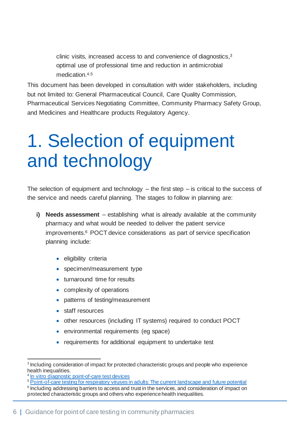clinic visits, increased access to and convenience of diagnostics, 3 optimal use of professional time and reduction in antimicrobial medication. 4,5

This document has been developed in consultation with wider stakeholders, including but not limited to: General Pharmaceutical Council, Care Quality Commission, Pharmaceutical Services Negotiating Committee, Community Pharmacy Safety Group, and Medicines and Healthcare products Regulatory Agency.

## <span id="page-6-0"></span>1. Selection of equipment and technology

The selection of equipment and technology  $-$  the first step  $-$  is critical to the success of the service and needs careful planning. The stages to follow in planning are:

- **i) Needs assessment** establishing what is already available at the community pharmacy and what would be needed to deliver the patient service improvements. <sup>6</sup> POCT device considerations as part of service specification planning include:
	- eligibility criteria
	- specimen/measurement type
	- turnaround time for results
	- complexity of operations
	- patterns of testing/measurement
	- staff resources
	- other resources (including IT systems) required to conduct POCT
	- environmental requirements (eg space)
	- requirements for additional equipment to undertake test

<sup>&</sup>lt;sup>3</sup> Including consideration of impact for protected characteristic groups and people who experience health inequalities.

<sup>4</sup> [In vitro diagnostic point-of-care test devices](https://www.gov.uk/government/publications/in-vitro-diagnostic-point-of-care-test-devices)

<sup>&</sup>lt;sup>5</sup> [Point-of-care testing for respiratory viruses in adults: The current landscape and future potential](https://pubmed.ncbi.nlm.nih.gov/26215335/)

<sup>&</sup>lt;sup>6</sup> Including addressing barriers to access and trust in the services, and consideration of impact on protected characteristic groups and others who experience health inequalities.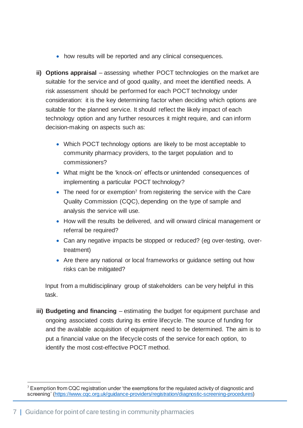- how results will be reported and any clinical consequences.
- **ii) Options appraisal** assessing whether POCT technologies on the market are suitable for the service and of good quality, and meet the identified needs. A risk assessment should be performed for each POCT technology under consideration: it is the key determining factor when deciding which options are suitable for the planned service. It should reflect the likely impact of each technology option and any further resources it might require, and can inform decision-making on aspects such as:
	- Which POCT technology options are likely to be most acceptable to community pharmacy providers, to the target population and to commissioners?
	- What might be the 'knock-on' effects or unintended consequences of implementing a particular POCT technology?
	- The need for or exemption<sup>7</sup> from registering the service with the Care Quality Commission (CQC), depending on the type of sample and analysis the service will use.
	- How will the results be delivered, and will onward clinical management or referral be required?
	- Can any negative impacts be stopped or reduced? (eg over-testing, overtreatment)
	- Are there any national or local frameworks or guidance setting out how risks can be mitigated?

Input from a multidisciplinary group of stakeholders can be very helpful in this task.

**iii) Budgeting and financing** – estimating the budget for equipment purchase and ongoing associated costs during its entire lifecycle. The source of funding for and the available acquisition of equipment need to be determined. The aim is to put a financial value on the lifecycle costs of the service for each option, to identify the most cost-effective POCT method.

 $7$  Exemption from CQC registration under 'the exemptions for the regulated activity of diagnostic and screening' [\(https://www.cqc.org.uk/guidance-providers/registration/diagnostic-screening-procedures](https://www.cqc.org.uk/guidance-providers/registration/diagnostic-screening-procedures))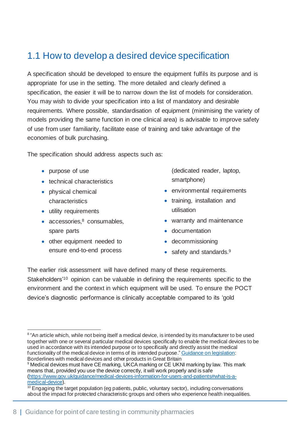## <span id="page-8-0"></span>1.1 How to develop a desired device specification

A specification should be developed to ensure the equipment fulfils its purpose and is appropriate for use in the setting. The more detailed and clearly defined a specification, the easier it will be to narrow down the list of models for consideration. You may wish to divide your specification into a list of mandatory and desirable requirements. Where possible, standardisation of equipment (minimising the variety of models providing the same function in one clinical area) is advisable to improve safety of use from user familiarity, facilitate ease of training and take advantage of the economies of bulk purchasing.

The specification should address aspects such as:

- purpose of use
- technical characteristics
- physical chemical characteristics
- utility requirements
- accessories, <sup>8</sup> consumables, spare parts
- other equipment needed to ensure end-to-end process

(dedicated reader, laptop, smartphone)

- environmental requirements
- training, installation and utilisation
- warranty and maintenance
- documentation
- decommissioning
- safety and standards.<sup>9</sup>

The earlier risk assessment will have defined many of these requirements. Stakeholders<sup>'10</sup> opinion can be valuable in defining the requirements specific to the environment and the context in which equipment will be used. To ensure the POCT device's diagnostic performance is clinically acceptable compared to its 'gold

<sup>9</sup> Medical devices must have CE marking, UKCA marking or CE UKNI marking by law. This mark means that, provided you use the device correctly, it will work properly and is safe [\(https://www.gov.uk/guidance/medical-devices-information-for-users-and-patients#what-is-a](https://www.gov.uk/guidance/medical-devices-information-for-users-and-patients%23what-is-a-medical-device)[medical-device\)](https://www.gov.uk/guidance/medical-devices-information-for-users-and-patients%23what-is-a-medical-device).

<sup>&</sup>lt;sup>8</sup> "An article which, while not being itself a medical device, is intended by its manufacturer to be used together with one or several particular medical devices specifically to enable the medical devices to be used in accordance with its intended purpose or to specifically and directly assist the medical functionality of the medical device in terms of its intended purpose." [Guidance on legislation](https://assets.publishing.service.gov.uk/government/uploads/system/uploads/attachment_data/file/1023171/Rev_Borderlines_with_medical_devices_and_other_products-_V1_4_80_.pdf): Borderlines with medical devices and other products in Great Britain

<sup>&</sup>lt;sup>10</sup> Engaging the target population (eg patients, public, voluntary sector), including conversations about the impact for protected characteristic groups and others who experience health inequalities.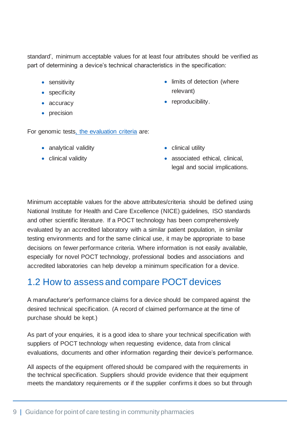standard', minimum acceptable values for at least four attributes should be verified as part of determining a device's technical characteristics in the specification:

- sensitivity
- specificity
- accuracy
- precision

For genomic tests, [the evaluation criteria](https://www.cdc.gov/genomics/gtesting/acce/index.htm) are:

- analytical validity
- clinical validity

• clinical utility

relevant)

• reproducibility.

• associated ethical, clinical, legal and social implications.

• limits of detection (where

Minimum acceptable values for the above attributes/criteria should be defined using National Institute for Health and Care Excellence (NICE) guidelines, ISO standards and other scientific literature. If a POCT technology has been comprehensively evaluated by an accredited laboratory with a similar patient population, in similar testing environments and for the same clinical use, it may be appropriate to base decisions on fewer performance criteria. Where information is not easily available, especially for novel POCT technology, professional bodies and associations and accredited laboratories can help develop a minimum specification for a device.

### <span id="page-9-0"></span>1.2 How to assess and compare POCT devices

A manufacturer's performance claims for a device should be compared against the desired technical specification. (A record of claimed performance at the time of purchase should be kept.)

As part of your enquiries, it is a good idea to share your technical specification with suppliers of POCT technology when requesting evidence, data from clinical evaluations, documents and other information regarding their device's performance.

All aspects of the equipment offered should be compared with the requirements in the technical specification. Suppliers should provide evidence that their equipment meets the mandatory requirements or if the supplier confirms it does so but through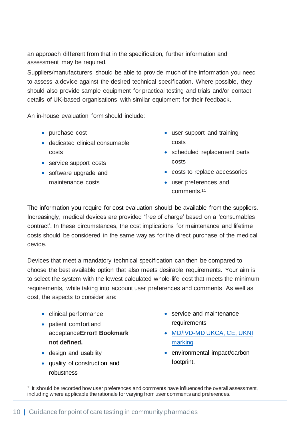an approach different from that in the specification, further information and assessment may be required.

Suppliers/manufacturers should be able to provide much of the information you need to assess a device against the desired technical specification. Where possible, they should also provide sample equipment for practical testing and trials and/or contact details of UK-based organisations with similar equipment for their feedback.

An in-house evaluation form should include:

- purchase cost
- dedicated clinical consumable costs
- service support costs
- software upgrade and maintenance costs
- user support and training costs
- scheduled replacement parts costs
- costs to replace accessories
- user preferences and comments.<sup>11</sup>

The information you require for cost evaluation should be available from the suppliers. Increasingly, medical devices are provided 'free of charge' based on a 'consumables contract'. In these circumstances, the cost implications for maintenance and lifetime costs should be considered in the same way as for the direct purchase of the medical device.

Devices that meet a mandatory technical specification can then be compared to choose the best available option that also meets desirable requirements. Your aim is to select the system with the lowest calculated whole-life cost that meets the minimum requirements, while taking into account user preferences and comments. As well as cost, the aspects to consider are:

- clinical performance
- patient comfort and acceptance**Error! Bookmark not defined.**
- design and usability
- quality of construction and robustness
- service and maintenance requirements
- [MD/IVD-MD UKCA, CE, UKNI](https://www.gov.uk/guidance/regulating-medical-devices-in-the-uk)  [marking](https://www.gov.uk/guidance/regulating-medical-devices-in-the-uk)
- environmental impact/carbon footprint.

<sup>&</sup>lt;sup>11</sup> It should be recorded how user preferences and comments have influenced the overall assessment, including where applicable the rationale for varying from user comments and preferences.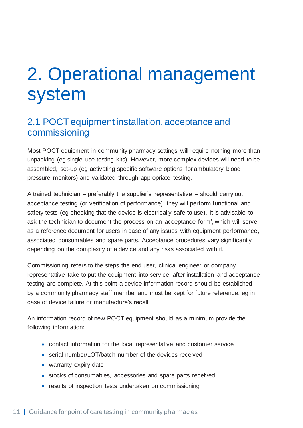## <span id="page-11-0"></span>2. Operational management system

#### <span id="page-11-1"></span>2.1 POCT equipment installation, acceptance and commissioning

Most POCT equipment in community pharmacy settings will require nothing more than unpacking (eg single use testing kits). However, more complex devices will need to be assembled, set-up (eg activating specific software options for ambulatory blood pressure monitors) and validated through appropriate testing.

A trained technician – preferably the supplier's representative – should carry out acceptance testing (or verification of performance); they will perform functional and safety tests (eg checking that the device is electrically safe to use). It is advisable to ask the technician to document the process on an 'acceptance form', which will serve as a reference document for users in case of any issues with equipment performance, associated consumables and spare parts. Acceptance procedures vary significantly depending on the complexity of a device and any risks associated with it.

Commissioning refers to the steps the end user, clinical engineer or company representative take to put the equipment into service, after installation and acceptance testing are complete. At this point a device information record should be established by a community pharmacy staff member and must be kept for future reference, eg in case of device failure or manufacture's recall.

An information record of new POCT equipment should as a minimum provide the following information:

- contact information for the local representative and customer service
- serial number/LOT/batch number of the devices received
- warranty expiry date
- stocks of consumables, accessories and spare parts received
- results of inspection tests undertaken on commissioning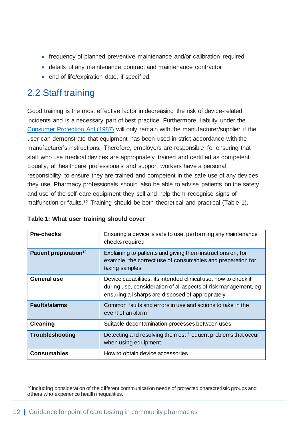- frequency of planned preventive maintenance and/or calibration required
- details of any maintenance contract and maintenance contractor
- end of life/expiration date, if specified.

## <span id="page-12-0"></span>2.2 Staff training

Good training is the most effective factor in decreasing the risk of device-related incidents and is a necessary part of best practice. Furthermore, liability under the [Consumer Protection Act \(1987\)](https://www.legislation.gov.uk/uksi/1987/1680/made) will only remain with the manufacturer/supplier if the user can demonstrate that equipment has been used in strict accordance with the manufacturer's instructions. Therefore, employers are responsible for ensuring that staff who use medical devices are appropriately trained and certified as competent. Equally, all healthcare professionals and support workers have a personal responsibility to ensure they are trained and competent in the safe use of any devices they use. Pharmacy professionals should also be able to advise patients on the safety and use of the self-care equipment they sell and help them recognise signs of malfunction or faults.<sup>12</sup> Training should be both theoretical and practical (Table 1).

| <b>Pre-checks</b>                 | Ensuring a device is safe to use, performing any maintenance<br>checks required                                                                                                         |
|-----------------------------------|-----------------------------------------------------------------------------------------------------------------------------------------------------------------------------------------|
| Patient preparation <sup>12</sup> | Explaining to patients and giving them instructions on, for<br>example, the correct use of consumables and preparation for<br>taking samples                                            |
| <b>General use</b>                | Device capabilities, its intended clinical use, how to check it<br>during use, consideration of all aspects of risk management, eg<br>ensuring all sharps are disposed of appropriately |
| <b>Faults/alarms</b>              | Common faults and errors in use and actions to take in the<br>event of an alarm                                                                                                         |
| <b>Cleaning</b>                   | Suitable decontamination processes between uses                                                                                                                                         |
| Troubleshooting                   | Detecting and resolving the most frequent problems that occur<br>when using equipment                                                                                                   |
| <b>Consumables</b>                | How to obtain device accessories                                                                                                                                                        |

#### <span id="page-12-1"></span>**Table 1: What user training should cover**

<sup>&</sup>lt;sup>12</sup> Including consideration of the different communication needs of protected characteristic groups and others who experience health inequalities.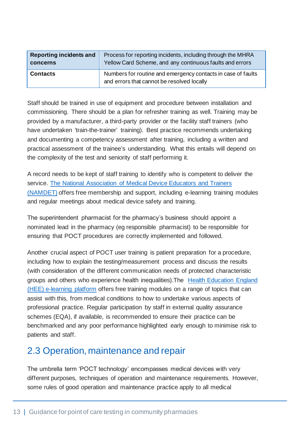| <b>Reporting incidents and</b> | Process for reporting incidents, including through the MHRA                                                |
|--------------------------------|------------------------------------------------------------------------------------------------------------|
| concerns                       | Yellow Card Scheme, and any continuous faults and errors                                                   |
| <b>Contacts</b>                | Numbers for routine and emergency contacts in case of faults<br>and errors that cannot be resolved locally |

Staff should be trained in use of equipment and procedure between installation and commissioning. There should be a plan for refresher training as well. Training may be provided by a manufacturer, a third-party provider or the facility staff trainers (who have undertaken 'train-the-trainer' training). Best practice recommends undertaking and documenting a competency assessment after training, including a written and practical assessment of the trainee's understanding. What this entails will depend on the complexity of the test and seniority of staff performing it.

A record needs to be kept of staff training to identify who is competent to deliver the service. [The National Association of Medical Device Educators and Trainers](https://namdet.org/)  [\(NAMDET\)](https://namdet.org/) offers free membership and support, including e-learning training modules and regular meetings about medical device safety and training.

The superintendent pharmacist for the pharmacy's business should appoint a nominated lead in the pharmacy (eg responsible pharmacist) to be responsible for ensuring that POCT procedures are correctly implemented and followed.

Another crucial aspect of POCT user training is patient preparation for a procedure, including how to explain the testing/measurement process and discuss the results (with consideration of the different communication needs of protected characteristic groups and others who experience health inequalities).The [Health Education England](https://www.e-lfh.org.uk/programmes/)  [\(HEE\) e-learning platform](https://www.e-lfh.org.uk/programmes/) offers free training modules on a range of topics that can assist with this, from medical conditions to how to undertake various aspects of professional practice. Regular participation by staff in external quality assurance schemes (EQA), if available, is recommended to ensure their practice can be benchmarked and any poor performance highlighted early enough to minimise risk to patients and staff.

#### <span id="page-13-0"></span>2.3 Operation, maintenance and repair

The umbrella term 'POCT technology' encompasses medical devices with very different purposes, techniques of operation and maintenance requirements. However, some rules of good operation and maintenance practice apply to all medical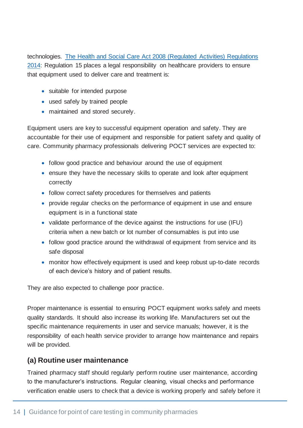technologies. [The Health and Social Care Act 2008 \(Regulated Activities\) Regulations](https://www.legislation.gov.uk/ukdsi/2014/9780111117613/contents)  [2014:](https://www.legislation.gov.uk/ukdsi/2014/9780111117613/contents) Regulation 15 places a legal responsibility on healthcare providers to ensure that equipment used to deliver care and treatment is:

- suitable for intended purpose
- used safely by trained people
- maintained and stored securely.

Equipment users are key to successful equipment operation and safety. They are accountable for their use of equipment and responsible for patient safety and quality of care. Community pharmacy professionals delivering POCT services are expected to:

- follow good practice and behaviour around the use of equipment
- ensure they have the necessary skills to operate and look after equipment correctly
- follow correct safety procedures for themselves and patients
- provide regular checks on the performance of equipment in use and ensure equipment is in a functional state
- validate performance of the device against the instructions for use (IFU) criteria when a new batch or lot number of consumables is put into use
- follow good practice around the withdrawal of equipment from service and its safe disposal
- monitor how effectively equipment is used and keep robust up-to-date records of each device's history and of patient results.

They are also expected to challenge poor practice.

Proper maintenance is essential to ensuring POCT equipment works safely and meets quality standards. It should also increase its working life. Manufacturers set out the specific maintenance requirements in user and service manuals; however, it is the responsibility of each health service provider to arrange how maintenance and repairs will be provided.

#### **(a) Routine user maintenance**

Trained pharmacy staff should regularly perform routine user maintenance, according to the manufacturer's instructions. Regular cleaning, visual checks and performance verification enable users to check that a device is working properly and safely before it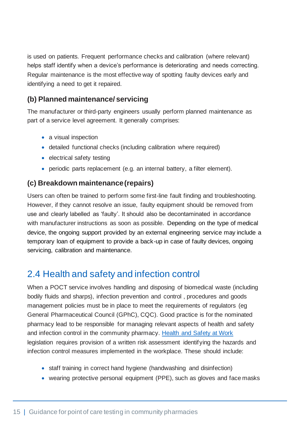is used on patients. Frequent performance checks and calibration (where relevant) helps staff identify when a device's performance is deteriorating and needs correcting. Regular maintenance is the most effective way of spotting faulty devices early and identifying a need to get it repaired.

#### **(b) Planned maintenance/ servicing**

The manufacturer or third-party engineers usually perform planned maintenance as part of a service level agreement. It generally comprises:

- a visual inspection
- detailed functional checks (including calibration where required)
- electrical safety testing
- periodic parts replacement (e.g. an internal battery, a filter element).

#### **(c) Breakdown maintenance (repairs)**

Users can often be trained to perform some first-line fault finding and troubleshooting. However, if they cannot resolve an issue, faulty equipment should be removed from use and clearly labelled as 'faulty'. It should also be decontaminated in accordance with manufacturer instructions as soon as possible. Depending on the type of medical device, the ongoing support provided by an external engineering service may include a temporary loan of equipment to provide a back-up in case of faulty devices, ongoing servicing, calibration and maintenance.

### <span id="page-15-0"></span>2.4 Health and safety and infection control

When a POCT service involves handling and disposing of biomedical waste (including bodily fluids and sharps), infection prevention and control , procedures and goods management policies must be in place to meet the requirements of regulators (eg General Pharmaceutical Council (GPhC), CQC). Good practice is for the nominated pharmacy lead to be responsible for managing relevant aspects of health and safety and infection control in the community pharmacy. [Health and Safety at Work](https://www.legislation.gov.uk/ukpga/1974/37/contents) legislation requires provision of a written risk assessment identifying the hazards and infection control measures implemented in the workplace. These should include:

- staff training in correct hand hygiene (handwashing and disinfection)
- wearing protective personal equipment (PPE), such as gloves and face masks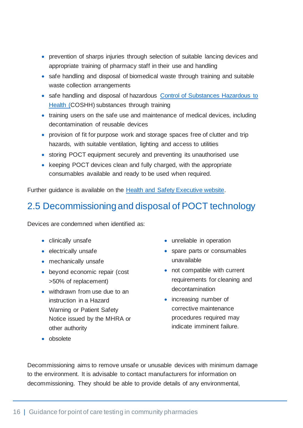- prevention of sharps injuries through selection of suitable lancing devices and appropriate training of pharmacy staff in their use and handling
- safe handling and disposal of biomedical waste through training and suitable waste collection arrangements
- safe handling and disposal of hazardous [Control of Substances Hazardous to](https://www.hse.gov.uk/coshh/)  [Health](https://www.hse.gov.uk/coshh/) (COSHH) substances through training
- training users on the safe use and maintenance of medical devices, including decontamination of reusable devices
- provision of fit for purpose work and storage spaces free of clutter and trip hazards, with suitable ventilation, lighting and access to utilities
- storing POCT equipment securely and preventing its unauthorised use
- keeping POCT devices clean and fully charged, with the appropriate consumables available and ready to be used when required.

Further guidance is available on the [Health and Safety Executive website.](https://www.hse.gov.uk/simple-health-safety/index.htm) 

### <span id="page-16-0"></span>2.5 Decommissioning and disposal of POCT technology

Devices are condemned when identified as:

- clinically unsafe
- electrically unsafe
- mechanically unsafe
- beyond economic repair (cost >50% of replacement)
- withdrawn from use due to an instruction in a Hazard Warning or Patient Safety Notice issued by the MHRA or other authority
- unreliable in operation
- spare parts or consumables unavailable
- not compatible with current requirements for cleaning and decontamination
- increasing number of corrective maintenance procedures required may indicate imminent failure.

• obsolete

Decommissioning aims to remove unsafe or unusable devices with minimum damage to the environment. It is advisable to contact manufacturers for information on decommissioning. They should be able to provide details of any environmental,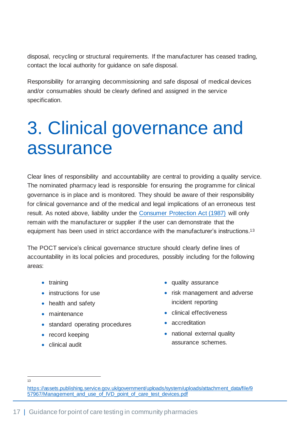disposal, recycling or structural requirements. If the manufacturer has ceased trading, contact the local authority for guidance on safe disposal.

Responsibility for arranging decommissioning and safe disposal of medical devices and/or consumables should be clearly defined and assigned in the service specification.

## <span id="page-17-0"></span>3. Clinical governance and assurance

Clear lines of responsibility and accountability are central to providing a quality service. The nominated pharmacy lead is responsible for ensuring the programme for clinical governance is in place and is monitored. They should be aware of their responsibility for clinical governance and of the medical and legal implications of an erroneous test result. As noted above, liability under the [Consumer Protection Act \(1987\)](https://www.legislation.gov.uk/uksi/1987/1680/made) will only remain with the manufacturer or supplier if the user can demonstrate that the equipment has been used in strict accordance with the manufacturer's instructions.<sup>13</sup>

The POCT service's clinical governance structure should clearly define lines of accountability in its local policies and procedures, possibly including for the following areas:

- [training](#page-12-0)
- [instructions for use](#page-13-0)
- [health and safety](#page-15-0)
- [maintenance](#page-16-0)
- standard operating procedures
- record keeping
- clinical audit
- quality assurance
- risk management and adverse incident reporting
- clinical effectiveness
- accreditation
- national external quality assurance schemes.

 $12$ 

[https://assets.publishing.service.gov.uk/government/uploads/system/uploads/attachment\\_data/file/9](https://assets.publishing.service.gov.uk/government/uploads/system/uploads/attachment_data/file/957967/Management_and_use_of_IVD_point_of_care_test_devices.pdf) [57967/Management\\_and\\_use\\_of\\_IVD\\_point\\_of\\_care\\_test\\_devices.pdf](https://assets.publishing.service.gov.uk/government/uploads/system/uploads/attachment_data/file/957967/Management_and_use_of_IVD_point_of_care_test_devices.pdf)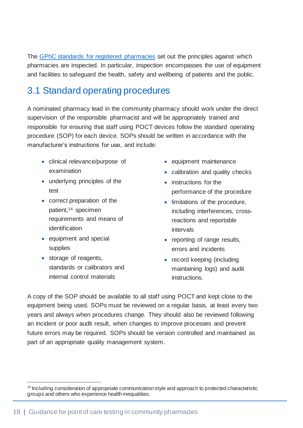The [GPhC standards for registered pharmacies](https://www.pharmacyregulation.org/standards/standards-registered-pharmacies) set out the principles against which pharmacies are inspected. In particular, inspection encompasses the use of equipment and facilities to safeguard the health, safety and wellbeing of patients and the public.

### <span id="page-18-0"></span>3.1 Standard operating procedures

A nominated pharmacy lead in the community pharmacy should work under the direct supervision of the responsible pharmacist and will be appropriately trained and responsible for ensuring that staff using POCT devices follow the standard operating procedure (SOP) for each device. SOPs should be written in accordance with the manufacturer's instructions for use, and include:

- clinical relevance/purpose of examination
- underlying principles of the test
- correct preparation of the patient,<sup>14</sup> specimen requirements and means of identification
- equipment and special supplies
- storage of reagents, standards or calibrators and internal control materials
- equipment maintenance
- calibration and quality checks
- instructions for the performance of the procedure
- limitations of the procedure, including interferences, crossreactions and reportable intervals
- reporting of range results, errors and incidents
- record keeping (including maintaining logs) and audit instructions.

A copy of the SOP should be available to all staff using POCT and kept close to the equipment being used. SOPs must be reviewed on a regular basis, at least every two years and always when procedures change. They should also be reviewed following an incident or poor audit result, when changes to improve processes and prevent future errors may be required. SOPs should be version controlled and maintained as part of an appropriate quality management system.

<sup>&</sup>lt;sup>14</sup> Including consideration of appropriate communication style and approach to protected characteristic groups and others who experience health inequalities.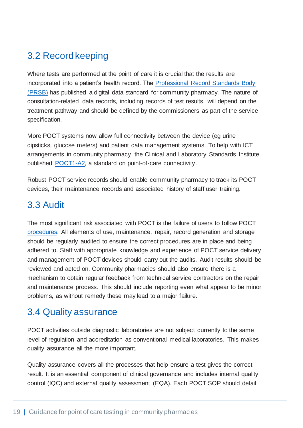## <span id="page-19-0"></span>3.2 Record keeping

Where tests are performed at the point of care it is crucial that the results are incorporated into a patient's health record. The [Professional Record Standards Body](https://theprsb.org/standards/communitypharmacystandard/)  [\(PRSB\)](https://theprsb.org/standards/communitypharmacystandard/) has published a digital data standard for community pharmacy. The nature of consultation-related data records, including records of test results, will depend on the treatment pathway and should be defined by the commissioners as part of the service specification.

More POCT systems now allow full connectivity between the device (eg urine dipsticks, glucose meters) and patient data management systems. To help with ICT arrangements in community pharmacy, the Clinical and Laboratory Standards Institute published [POCT1-A2,](https://clsi.org/standards/products/point-of-care-testing/documents/poct01) a standard on point-of-care connectivity.

Robust POCT service records should enable community pharmacy to track its POCT devices, their maintenance records and associated history of staff user training.

### <span id="page-19-1"></span>3.3 Audit

The most significant risk associated with POCT is the failure of users to follow POCT procedures. All elements of use, maintenance, repair, record generation and storage should be regularly audited to ensure the correct procedures are in place and being adhered to. Staff with appropriate knowledge and experience of POCT service delivery and management of POCT devices should carry out the audits. Audit results should be reviewed and acted on. Community pharmacies should also ensure there is a mechanism to obtain regular feedback from technical service contractors on the repair and maintenance process. This should include reporting even what appear to be minor problems, as without remedy these may lead to a major failure.

#### <span id="page-19-2"></span>3.4 Quality assurance

POCT activities outside diagnostic laboratories are not subject currently to the same level of regulation and accreditation as conventional medical laboratories. This makes quality assurance all the more important.

Quality assurance covers all the processes that help ensure a test gives the correct result. It is an essential component of clinical governance and includes internal quality control (IQC) and external quality assessment (EQA). Each POCT SOP should detail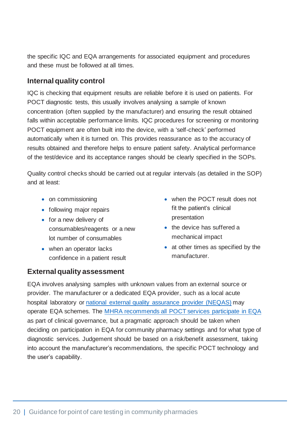the specific IQC and EQA arrangements for associated equipment and procedures and these must be followed at all times.

#### **Internal quality control**

IQC is checking that equipment results are reliable before it is used on patients. For POCT diagnostic tests, this usually involves analysing a sample of known concentration (often supplied by the manufacturer) and ensuring the result obtained falls within acceptable performance limits. IQC procedures for screening or monitoring POCT equipment are often built into the device, with a 'self-check' performed automatically when it is turned on. This provides reassurance as to the accuracy of results obtained and therefore helps to ensure patient safety. Analytical performance of the test/device and its acceptance ranges should be clearly specified in the SOPs.

Quality control checks should be carried out at regular intervals (as detailed in the SOP) and at least:

- on commissioning
- following major repairs
- for a new delivery of consumables/reagents or a new lot number of consumables
- when an operator lacks confidence in a patient result

#### **External quality assessment**

- when the POCT result does not fit the patient's clinical presentation
- the device has suffered a mechanical impact
- at other times as specified by the manufacturer.

EQA involves analysing samples with unknown values from an external source or provider. The manufacturer or a dedicated EQA provider, such as a local acute hospital laboratory or [national external quality assurance](https://birminghamquality.org.uk/eqa-programmes/poct-suite/) provider (NEQAS) may operate EQA schemes. The [MHRA recommends all POCT services](https://assets.publishing.service.gov.uk/government/uploads/system/uploads/attachment_data/file/957967/Management_and_use_of_IVD_point_of_care_test_devices.pdf) participate in EQA as part of clinical governance, but a pragmatic approach should be taken when deciding on participation in EQA for community pharmacy settings and for what type of diagnostic services. Judgement should be based on a risk/benefit assessment, taking into account the manufacturer's recommendations, the specific POCT technology and the user's capability.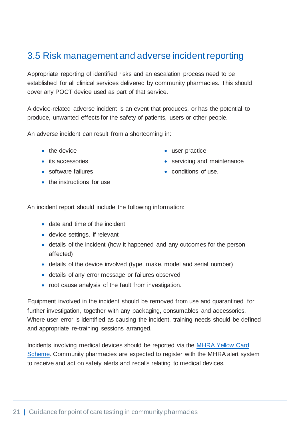### <span id="page-21-0"></span>3.5 Risk management and adverse incident reporting

Appropriate reporting of identified risks and an escalation process need to be established for all clinical services delivered by community pharmacies. This should cover any POCT device used as part of that service.

A device-related adverse incident is an event that produces, or has the potential to produce, unwanted effects for the safety of patients, users or other people.

An adverse incident can result from a shortcoming in:

- the device
- its accessories
- software failures
- the instructions for use
- user practice
- servicing and maintenance
- conditions of use.

An incident report should include the following information:

- date and time of the incident
- device settings, if relevant
- details of the incident (how it happened and any outcomes for the person affected)
- details of the device involved (type, make, model and serial number)
- details of any error message or failures observed
- root cause analysis of the fault from investigation.

Equipment involved in the incident should be removed from use and quarantined for further investigation, together with any packaging, consumables and accessories. Where user error is identified as causing the incident, training needs should be defined and appropriate re-training sessions arranged.

Incidents involving medical devices should be reported via the [MHRA Yellow Card](https://yellowcard.mhra.gov.uk/the-yellow-card-scheme/#:~:text=The%20Yellow%20Card%20scheme%20run%20by%20the%20MHRA,or%20adverse%20incidents%20involving%20medicines%20and%20medical%20devices.)  [Scheme.](https://yellowcard.mhra.gov.uk/the-yellow-card-scheme/#:~:text=The%20Yellow%20Card%20scheme%20run%20by%20the%20MHRA,or%20adverse%20incidents%20involving%20medicines%20and%20medical%20devices.) Community pharmacies are expected to register with the MHRA alert system to receive and act on safety alerts and recalls relating to medical devices.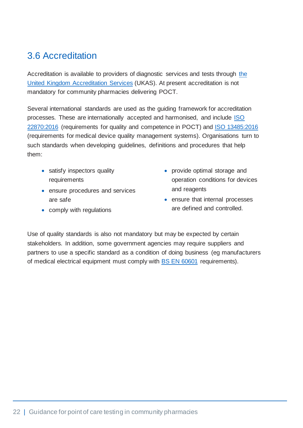### <span id="page-22-0"></span>3.6 Accreditation

Accreditation is available to providers of diagnostic services and tests through [the](https://www.ukas.com/)  [United Kingdom Accreditation Services](https://www.ukas.com/) (UKAS). At present accreditation is not mandatory for community pharmacies delivering POCT.

Several international standards are used as the guiding framework for accreditation processes. These are internationally accepted and harmonised, and include [ISO](https://www.iso.org/obp/ui/#iso:std:iso:22870:ed-2:v1:en)  [22870:2016](https://www.iso.org/obp/ui/#iso:std:iso:22870:ed-2:v1:en) (requirements for quality and competence in POCT) and [ISO 13485:2016](https://www.iso.org/obp/ui#iso:std:iso:13485:ed-3:v1:en) (requirements for medical device quality management systems). Organisations turn to such standards when developing guidelines, definitions and procedures that help them:

- satisfy inspectors quality requirements
- ensure procedures and services are safe
- comply with regulations
- provide optimal storage and operation conditions for devices and reagents
- ensure that internal processes are defined and controlled.

Use of quality standards is also not mandatory but may be expected by certain [stakeholders.](https://asq.org/quality-resources/stakeholders) In addition, some government agencies may require suppliers and partners to use a specific standard as a condition of doing business (eg manufacturers of medical electrical equipment must comply with [BS EN](https://www.iso.org/standard/65529.html) 60601 requirements).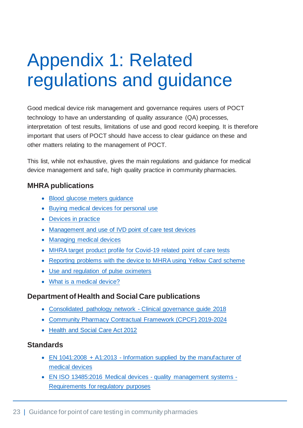## <span id="page-23-0"></span>Appendix 1: Related regulations and guidance

Good medical device risk management and governance requires users of POCT technology to have an understanding of quality assurance (QA) processes, interpretation of test results, limitations of use and good record keeping. It is therefore important that users of POCT should have access to clear guidance on these and other matters relating to the management of POCT.

This list, while not exhaustive, gives the main regulations and guidance for medical device management and safe, high quality practice in community pharmacies.

#### **MHRA publications**

- [Blood glucose meters guidance](file://///ims.gov.uk/data/Users/GBBULVD/BULHOME31/AStec/-%09https:/www.gov.uk/guidance/medical-devices-information-for-users-and-patients%23blood-glucose-meters)
- [Buying medical devices for personal use](https://www.gov.uk/guidance/medical-devices-information-for-users-and-patients)
- [Devices in practice](https://assets.publishing.service.gov.uk/government/uploads/system/uploads/attachment_data/file/403401/Devices_in_practice.pdf)
- [Management and use of IVD point of care test devices](https://www.gov.uk/government/publications/in-vitro-diagnostic-point-of-care-test-devices/management-and-use-of-ivd-point-of-care-test-devices)
- [Managing medical devices](https://assets.publishing.service.gov.uk/government/uploads/system/uploads/attachment_data/file/965010/Managing_medical_devices022021.pdf)
- [MHRA target product profile for Covid-19 related point of care tests](https://www.gov.uk/government/publications/how-tests-and-testing-kits-for-coronavirus-covid-19-work/target-product-profile-antibody-tests-to-help-determine-if-people-have-recent-infection-to-sars-cov-2-version-2)
- [Reporting problems with the device to MHRA using Yellow Card scheme](https://www.gov.uk/guidance/medical-devices-information-for-users-and-patients#problems-and-troubleshooting)
- [Use and regulation of pulse oximeters](file:///C:/Users/Heidi.Wright/AppData/Local/Microsoft/Windows/INetCache/Content.Outlook/2B3MVRKM/-%09https:/www.gov.uk/guidance/the-use-and-regulation-of-pulse-oximeters-information-for-healthcare-professionals)
- [What is a medical device?](file://///ims.gov.uk/data/Users/GBBULVD/BULHOME31/AStec/-%09https:/www.gov.uk/guidance/medical-devices-information-for-users-and-patients%23what-is-a-medical-device)

#### **Department of Health and Social Care publications**

- [Consolidated pathology network -](https://improvement.nhs.uk/documents/2718/Clinical_Governance_Toolkit.pdf) Clinical governance guide 2018
- [Community Pharmacy Contractual Framework \(CPCF\) 2019-2024](https://www.gov.uk/government/publications/community-pharmacy-contractual-framework-2019-to-2024)
- [Health and Social Care Act 2012](https://www.legislation.gov.uk/ukpga/2012/7/contents)

#### **Standards**

- EN 1041:2008 + A1:2013 [Information supplied by the manufacturer of](https://www.britishstandard.org.uk/pub/bs-en-10412008a12013-9780580808739.aspx)  [medical devices](https://www.britishstandard.org.uk/pub/bs-en-10412008a12013-9780580808739.aspx)
- [EN ISO 13485:2016 Medical devices -](https://shop.bsigroup.com/ProductDetail?pid=000000000030353196) quality management systems [Requirements for regulatory purposes](https://shop.bsigroup.com/ProductDetail?pid=000000000030353196)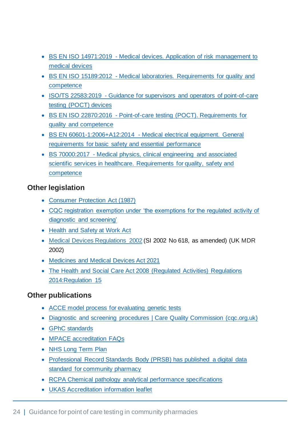- BS EN ISO 14971:2019 [Medical devices. Application of risk management to](https://shop.bsigroup.com/ProductDetail?pid=000000000030407615)  [medical devices](https://shop.bsigroup.com/ProductDetail?pid=000000000030407615)
- BS EN ISO 15189:2012 [Medical laboratories. Requirements for quality and](https://shop.bsigroup.com/ProductDetail?pid=000000000030312975)  [competence](https://shop.bsigroup.com/ProductDetail?pid=000000000030312975)
- ISO/TS 22583:2019 [Guidance for supervisors and operators of point-of-care](https://www.iso.org/standard/73506.html)  [testing \(POCT\) devices](https://www.iso.org/standard/73506.html)
- BS EN ISO 22870:2016 [Point-of-care testing \(POCT\). Requirements for](https://shop.bsigroup.com/ProductDetail?pid=000000000030341062)  [quality and competence](https://shop.bsigroup.com/ProductDetail?pid=000000000030341062)
- BS EN 60601-1:2006+A12:2014 [Medical electrical equipment. General](https://shop.bsigroup.com/ProductDetail?pid=000000000030375902)  [requirements for basic safety and essential performance](https://shop.bsigroup.com/ProductDetail?pid=000000000030375902)
- BS 70000:2017 [Medical physics, clinical engineering and associated](https://shop.bsigroup.com/ProductDetail?pid=000000000030323397)  [scientific services in healthcare. Requirements for quality, safety and](https://shop.bsigroup.com/ProductDetail?pid=000000000030323397)  [competence](https://shop.bsigroup.com/ProductDetail?pid=000000000030323397)

#### **Other legislation**

- [Consumer Protection Act \(1987\)](https://www.legislation.gov.uk/uksi/1987/1680/made)
- [CQC registration exemption under 'the exemptions for the regulated activity of](https://www.legislation.gov.uk/uksi/2014/2936/schedule/1/made)  [diagnostic and screening'](https://www.legislation.gov.uk/uksi/2014/2936/schedule/1/made)
- [Health and Safety at Work](https://www.legislation.gov.uk/ukpga/1974/37/contents) Act
- Medical Devices [Regulations](http://www.legislation.gov.uk/uksi/2002/618/contents/made) 2002 (SI 2002 No 618, as amended) (UK MDR 2002)
- [Medicines and Medical Devices Act 2021](https://www.legislation.gov.uk/ukpga/2021/3/contents/enacted/data.htm)
- The Health and Social Care Act 2008 (Regulated Activities) Regulations [2014:R](https://www.legislation.gov.uk/ukdsi/2014/9780111117613/contents)egulation 15

#### **Other publications**

- [ACCE model process for evaluating genetic tests](https://www.cdc.gov/genomics/gtesting/acce/index.htm)
- [Diagnostic and screening procedures | Care Quality Commission \(cqc.org.uk\)](https://www.cqc.org.uk/guidance-providers/registration/diagnostic-screening-procedures)
- [GPhC standards](https://www.pharmacyregulation.org/standards)
- [MPACE accreditation FAQs](https://www.ukas.com/wp-content/uploads/2021/01/MPACE-FAQ.pdf)
- [NHS Long Term Plan](https://www.longtermplan.nhs.uk/)
- [Professional Record Standards Body \(PRSB\) has published a digital data](https://theprsb.org/standards/communitypharmacystandard/)  [standard for community pharmacy](https://theprsb.org/standards/communitypharmacystandard/)
- [RCPA Chemical pathology analytical performance specifications](https://rcpaqap.com.au/resources/chemical-pathology-analytical-performance-specifications/)
- [UKAS Accreditation information leaflet](https://www.ukas.com/wp-content/uploads/filebase/brochures/UKAS-B29-03-2019-Diagnostics-Leaflet-HiRes.pdf)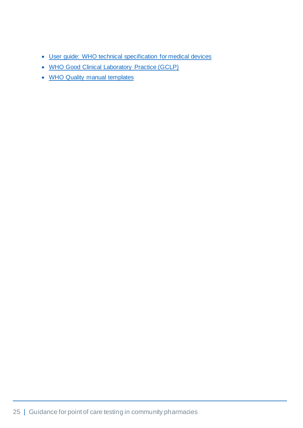- [User guide: WHO technical specification for medical devices](https://www.who.int/medical_devices/management_use/userguide_dec2014.pdf?ua=1)
- [WHO Good Clinical Laboratory Practice \(GCLP\)](https://assets.publishing.service.gov.uk/media/57a08b54e5274a31e0000ac6/gclp-web.pdf)
- [WHO Quality manual templates](https://www.who.int/ihr/training/laboratory_quality/quality_manual/en/)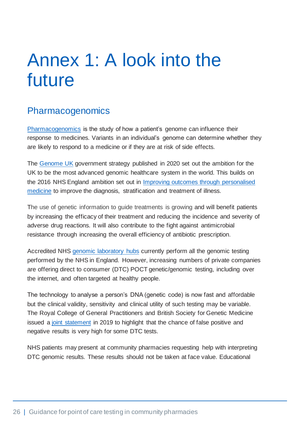## <span id="page-26-0"></span>Annex 1: A look into the future

### <span id="page-26-1"></span>Pharmacogenomics

[Pharmacogenomics](https://www.genomicseducation.hee.nhs.uk/glossary/pharmacogenomics/) is the study of how a patient's genome can influence their response to medicines. Variants in an individual's genome can determine whether they are likely to respond to a medicine or if they are at risk of side effects.

The [Genome UK](https://assets.publishing.service.gov.uk/government/uploads/system/uploads/attachment_data/file/920378/Genome_UK_-_the_future_of_healthcare.pdf) government strategy published in 2020 set out the ambition for the UK to be the most advanced genomic healthcare system in the world. This builds on the 2016 NHS England ambition set out in [Improving outcomes through personalised](https://www.england.nhs.uk/publication/improving-outcomes-through-personalised-medicine/)  [medicine](https://www.england.nhs.uk/publication/improving-outcomes-through-personalised-medicine/) to improve the diagnosis, stratification and treatment of illness.

The use of genetic information to guide treatments is growing and will benefit patients by increasing the efficacy of their treatment and reducing the incidence and severity of adverse drug reactions. It will also contribute to the fight against antimicrobial resistance through increasing the overall efficiency of antibiotic prescription.

Accredited NHS [genomic laboratory hubs](https://www.england.nhs.uk/genomics/genomic-laboratory-hubs/) currently perform all the genomic testing performed by the NHS in England. However, increasing numbers of private companies are offering direct to consumer (DTC) POCT genetic/genomic testing, including over the internet, and often targeted at healthy people.

The technology to analyse a person's DNA (genetic code) is now fast and affordable but the clinical validity, sensitivity and clinical utility of such testing may be variable. The Royal College of General Practitioners and British Society for Genetic Medicine issued a joint [statement](https://www.rcgp.org.uk/policy/rcgp-policy-areas/genomic-position-statement.aspx) in 2019 to highlight that the chance of false positive and negative results is very high for some DTC tests.

NHS patients may present at community pharmacies requesting help with interpreting DTC genomic results. These results should not be taken at face value. Educational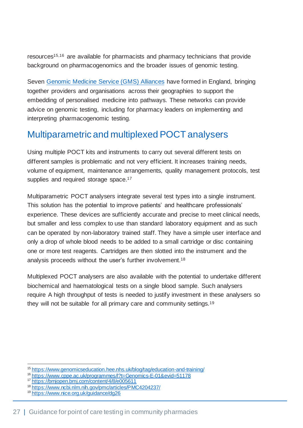resources15,16 are available for pharmacists and pharmacy technicians that provide background on pharmacogenomics and the broader issues of genomic testing.

Seven [Genomic Medicine Service \(GMS\)](https://www.england.nhs.uk/genomics/nhs-genomic-med-service/) Alliances have formed in England, bringing together providers and organisations across their geographies to support the embedding of personalised medicine into pathways. These networks can provide advice on genomic testing, including for pharmacy leaders on implementing and interpreting pharmacogenomic testing.

### <span id="page-27-0"></span>Multiparametric and multiplexed POCT analysers

Using multiple POCT kits and instruments to carry out several different tests on different samples is problematic and not very efficient. It increases training needs, volume of equipment, maintenance arrangements, quality management protocols, test supplies and required storage space.<sup>17</sup>

Multiparametric POCT analysers integrate several test types into a single instrument. This solution has the potential to improve patients' and healthcare professionals' experience. These devices are sufficiently accurate and precise to meet clinical needs, but smaller and less complex to use than standard laboratory equipment and as such can be operated by non-laboratory trained staff. They have a simple user interface and only a drop of whole blood needs to be added to a small cartridge or disc containing one or more test reagents. Cartridges are then slotted into the instrument and the analysis proceeds without the user's further involvement.<sup>18</sup>

Multiplexed POCT analysers are also available with the potential to undertake different biochemical and haematological tests on a single blood sample. Such analysers require A high throughput of tests is needed to justify investment in these analysers so they will not be suitable for all primary care and community settings.<sup>19</sup>

<sup>15</sup> <https://www.genomicseducation.hee.nhs.uk/blog/tag/education-and-training/>

<sup>16</sup> <https://www.cppe.ac.uk/programmes/l?t=Genomics-E-01&evid=51178>

<sup>17</sup> <https://bmjopen.bmj.com/content/4/8/e005611>

<sup>18</sup> <https://www.ncbi.nlm.nih.gov/pmc/articles/PMC4204237/>

<sup>19</sup> <https://www.nice.org.uk/guidance/dg26>